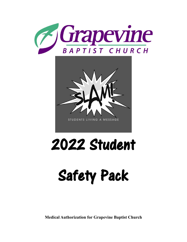



## 2022 Student

# Safety Pack

**Medical Authorization for Grapevine Baptist Church**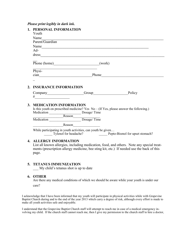## *Please print legibly in dark ink.*

| $\mathbf{1}$ . | PERSONAL INFORMATION<br>Youth<br>Name<br>Parent/Guardian                                                                                                                                                                                                                                                                                                                                                                    |  |                                                                                           |
|----------------|-----------------------------------------------------------------------------------------------------------------------------------------------------------------------------------------------------------------------------------------------------------------------------------------------------------------------------------------------------------------------------------------------------------------------------|--|-------------------------------------------------------------------------------------------|
|                |                                                                                                                                                                                                                                                                                                                                                                                                                             |  |                                                                                           |
|                |                                                                                                                                                                                                                                                                                                                                                                                                                             |  |                                                                                           |
|                |                                                                                                                                                                                                                                                                                                                                                                                                                             |  |                                                                                           |
|                | Name<br>$Ad-$                                                                                                                                                                                                                                                                                                                                                                                                               |  |                                                                                           |
|                |                                                                                                                                                                                                                                                                                                                                                                                                                             |  |                                                                                           |
|                |                                                                                                                                                                                                                                                                                                                                                                                                                             |  |                                                                                           |
|                | Physi-                                                                                                                                                                                                                                                                                                                                                                                                                      |  |                                                                                           |
|                |                                                                                                                                                                                                                                                                                                                                                                                                                             |  | cian Phone Phone                                                                          |
|                |                                                                                                                                                                                                                                                                                                                                                                                                                             |  |                                                                                           |
| 2.             | <b>INSURANCE INFORMATION</b>                                                                                                                                                                                                                                                                                                                                                                                                |  |                                                                                           |
|                | $\begin{picture}(20,10) \put(0,0){\dashbox{0.5}(5,0){ }} \thicklines \put(0,0){\dashbox{0.5}(5,0){ }} \thicklines \put(0,0){\dashbox{0.5}(5,0){ }} \thicklines \put(0,0){\dashbox{0.5}(5,0){ }} \thicklines \put(0,0){\dashbox{0.5}(5,0){ }} \thicklines \put(0,0){\dashbox{0.5}(5,0){ }} \thicklines \put(0,0){\dashbox{0.5}(5,0){ }} \thicklines \put(0,0){\dashbox{0.5}(5,0){ }} \thicklines \put(0,0){\dashbox{0.5}(5,$ |  |                                                                                           |
| 3.             | <b>MEDICATION INFORMATION</b><br>Is this youth on prescribed medicine? Yes $No - (If Yes, please answer the following.)$<br>Medication Beason<br>Reason<br>Nedication Bosage/Time<br>Dosage/Time                                                                                                                                                                                                                            |  |                                                                                           |
|                |                                                                                                                                                                                                                                                                                                                                                                                                                             |  |                                                                                           |
|                |                                                                                                                                                                                                                                                                                                                                                                                                                             |  |                                                                                           |
|                | While participating in youth activities, can youth be given<br>Tylenol for headache? Pepto-Bismol for upset stomach?                                                                                                                                                                                                                                                                                                        |  |                                                                                           |
| 4.             | <b>ALLERGY INFORMATION</b>                                                                                                                                                                                                                                                                                                                                                                                                  |  | List all known allergies, including medication, food, and others. Note any special treat- |

List all known allergies, including medication, food, and others. Note any special treatments (prescription allergy medicine, bee sting kit, etc.) If needed use the back of this page.

### **5. TETANUS IMMUNIZATION**

\_\_\_ My child's tetanus shot is up to date

## **6. OTHER**

Are there any medical conditions of which we should be aware while your youth is under our care?

I acknowledge that I have been informed that my youth will participate in physical activities while with Grapevine Baptist Church during and to the end of the year 2013 which carry a degree of risk, although every effort is made to make all youth activities safe and enjoyable.

I understand that the Grapevine Baptist Church staff will attempt to reach me in case of a medical emergency involving my child. If the church staff cannot reach me, then I give my permission to the church staff to hire a doctor,